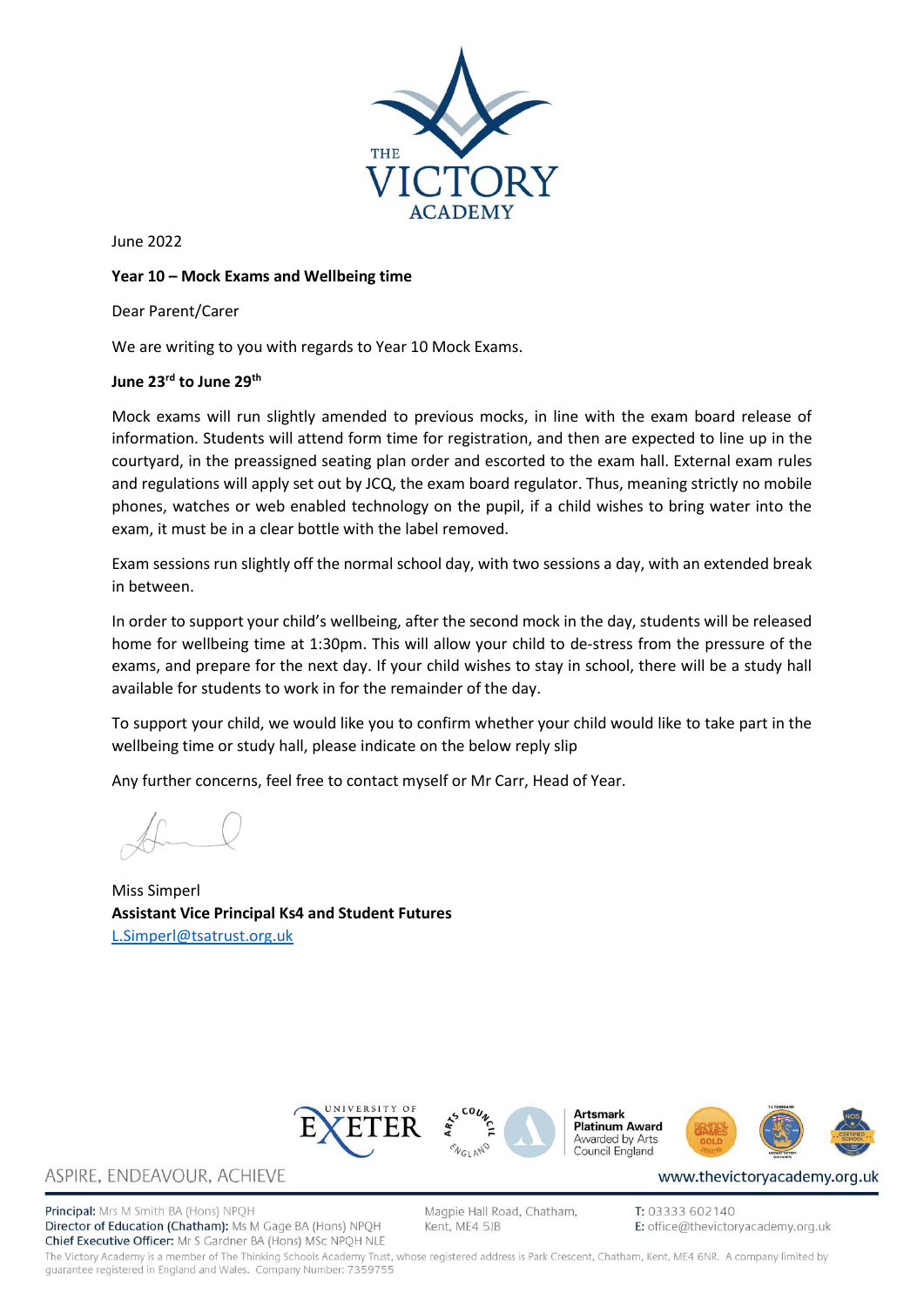

June 2022

#### **Year 10 – Mock Exams and Wellbeing time**

Dear Parent/Carer

We are writing to you with regards to Year 10 Mock Exams.

### **June 23rd to June 29th**

Mock exams will run slightly amended to previous mocks, in line with the exam board release of information. Students will attend form time for registration, and then are expected to line up in the courtyard, in the preassigned seating plan order and escorted to the exam hall. External exam rules and regulations will apply set out by JCQ, the exam board regulator. Thus, meaning strictly no mobile phones, watches or web enabled technology on the pupil, if a child wishes to bring water into the exam, it must be in a clear bottle with the label removed.

Exam sessions run slightly off the normal school day, with two sessions a day, with an extended break in between.

In order to support your child's wellbeing, after the second mock in the day, students will be released home for wellbeing time at 1:30pm. This will allow your child to de-stress from the pressure of the exams, and prepare for the next day. If your child wishes to stay in school, there will be a study hall available for students to work in for the remainder of the day.

To support your child, we would like you to confirm whether your child would like to take part in the wellbeing time or study hall, please indicate on the below reply slip

Any further concerns, feel free to contact myself or Mr Carr, Head of Year.

Miss Simperl **Assistant Vice Principal Ks4 and Student Futures** [L.Simperl@tsatrust.org.uk](mailto:L.Simperl@tsatrust.org.uk)





**Artsmark Platinum Award** Awarded by Arts Council England



www.thevictoryacademy.org.uk

# ASPIRE, ENDEAVOUR, ACHIEVE

Principal: Mrs M Smith BA (Hons) NPQH Director of Education (Chatham): Ms M Gage BA (Hons) NPQH Chief Executive Officer: Mr S Gardner BA (Hons) MSc NPQH NLE Magpie Hall Road, Chatham, Kent, ME4 5JB

T: 03333 602140 E: office@thevictoryacademy.org.uk

The Victory Academy is a member of The Thinking Schools Academy Trust, whose registered address is Park Crescent, Chatham, Kent, ME4 6NR. A company limited by quarantee registered in England and Wales. Company Number: 7359755